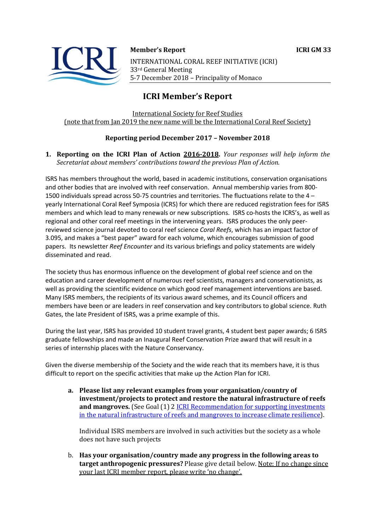

**Member's Report ICRI GM 33** 

INTERNATIONAL CORAL REEF INITIATIVE (ICRI) 33rd General Meeting 5-7 December 2018 - Principality of Monaco

# **ICRI Member's Report**

**International Society for Reef Studies** (note that from Jan 2019 the new name will be the International Coral Reef Society)

## **Reporting period December 2017 – November 2018**

#### **1. Reporting on the ICRI Plan of Action 2016-2018.** *Your responses will help inform the Secretariat about members' contributions toward the previous Plan of Action.*

ISRS has members throughout the world, based in academic institutions, conservation organisations and other bodies that are involved with reef conservation. Annual membership varies from 800- 1500 individuals spread across 50-75 countries and territories. The fluctuations relate to the 4 – yearly International Coral Reef Symposia (ICRS) for which there are reduced registration fees for ISRS members and which lead to many renewals or new subscriptions. ISRS co-hosts the ICRS's, as well as regional and other coral reef meetings in the intervening years. ISRS produces the only peerreviewed science journal devoted to coral reef science *Coral Reefs*, which has an impact factor of 3.095, and makes a "best paper" award for each volume, which encourages submission of good papers. Its newsletter *Reef Encounter* and its various briefings and policy statements are widely disseminated and read.

The society thus has enormous influence on the development of global reef science and on the education and career development of numerous reef scientists, managers and conservationists, as well as providing the scientific evidence on which good reef management interventions are based. Many ISRS members, the recipients of its various award schemes, and its Council officers and members have been or are leaders in reef conservation and key contributors to global science. Ruth Gates, the late President of ISRS, was a prime example of this.

During the last year, ISRS has provided 10 student travel grants, 4 student best paper awards; 6 ISRS graduate fellowships and made an Inaugural Reef Conservation Prize award that will result in a series of internship places with the Nature Conservancy.

Given the diverse membership of the Society and the wide reach that its members have, it is thus difficult to report on the specific activities that make up the Action Plan for ICRI.

a. Please list any relevant examples from your organisation/country of **investment/projects to protect and restore the natural infrastructure of reefs and mangroves.** (See Goal (1) 2 ICRI Recommendation for supporting investments in the natural infrastructure of reefs and mangroves to increase climate resilience).

Individual ISRS members are involved in such activities but the society as a whole does not have such projects

b. Has your organisation/country made any progress in the following areas to **target anthropogenic pressures?** Please give detail below. Note: If no change since your last ICRI member report, please write 'no change'.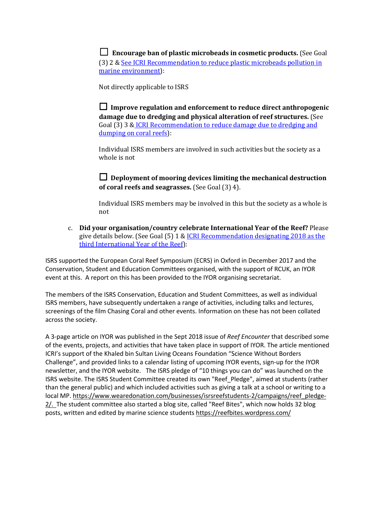$\Box$  **Encourage ban of plastic microbeads in cosmetic products.** (See Goal (3) 2 & See ICRI Recommendation to reduce plastic microbeads pollution in marine environment):

Not directly applicable to ISRS

□ Improve regulation and enforcement to reduce direct anthropogenic **damage due to dredging and physical alteration of reef structures.** (See Goal (3) 3 & ICRI Recommendation to reduce damage due to dredging and dumping on coral reefs):

Individual ISRS members are involved in such activities but the society as a whole is not

 $\Box$  Deployment of mooring devices limiting the mechanical destruction **of coral reefs and seagrasses.** (See Goal (3) 4).

Individual ISRS members may be involved in this but the society as a whole is not

c. **Did your organisation/country celebrate International Year of the Reef?** Please give details below. (See Goal  $(5)$  1 & ICRI Recommendation designating 2018 as the third International Year of the Reef):

ISRS supported the European Coral Reef Symposium (ECRS) in Oxford in December 2017 and the Conservation, Student and Education Committees organised, with the support of RCUK, an IYOR event at this. A report on this has been provided to the IYOR organising secretariat.

The members of the ISRS Conservation, Education and Student Committees, as well as individual ISRS members, have subsequently undertaken a range of activities, including talks and lectures, screenings of the film Chasing Coral and other events. Information on these has not been collated across the society.

A 3-page article on IYOR was published in the Sept 2018 issue of *Reef Encounter* that described some of the events, projects, and activities that have taken place in support of IYOR. The article mentioned ICRI's support of the Khaled bin Sultan Living Oceans Foundation "Science Without Borders Challenge", and provided links to a calendar listing of upcoming IYOR events, sign-up for the IYOR newsletter, and the IYOR website. The ISRS pledge of "10 things you can do" was launched on the ISRS website. The ISRS Student Committee created its own "Reef\_Pledge", aimed at students (rather than the general public) and which included activities such as giving a talk at a school or writing to a local MP. https://www.wearedonation.com/businesses/isrsreefstudents-2/campaigns/reef\_pledge-2/. The student committee also started a blog site, called "Reef Bites", which now holds 32 blog posts, written and edited by marine science students https://reefbites.wordpress.com/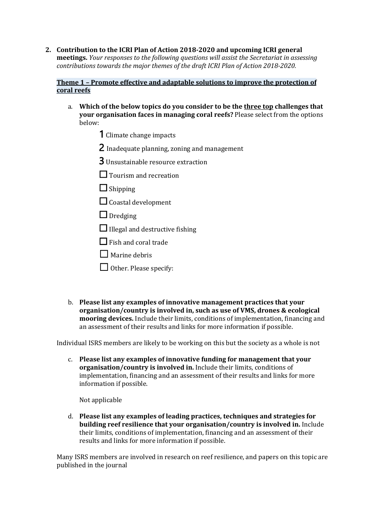**2.** Contribution to the ICRI Plan of Action 2018-2020 and upcoming ICRI general **meetings.** *Your responses to the following questions will assist the Secretariat in assessing contributions towards the major themes of the draft ICRI Plan of Action 2018-2020.* 

#### **Theme 1 - Promote effective and adaptable solutions to improve the protection of coral reefs**

- a. Which of the below topics do you consider to be the three top challenges that **your organisation faces in managing coral reefs?** Please select from the options below:
	- 1 Climate change impacts
	- 2 Inadequate planning, zoning and management
	- **3** Unsustainable resource extraction
	- □ Tourism and recreation
	- $\Box$  Shipping
	- $\Box$  Coastal development
	- $\Box$  Dredging
	- $\Box$  Illegal and destructive fishing
	- $\Box$  Fish and coral trade
	- $\Box$  Marine debris
	- $\Box$  Other. Please specify:
- b. Please list any examples of innovative management practices that your **organisation/country** is involved in, such as use of VMS, drones & ecological **mooring devices.** Include their limits, conditions of implementation, financing and an assessment of their results and links for more information if possible.

Individual ISRS members are likely to be working on this but the society as a whole is not

c. Please list any examples of innovative funding for management that your organisation/country is involved in. Include their limits, conditions of implementation, financing and an assessment of their results and links for more information if possible.

Not applicable

d. Please list any examples of leading practices, techniques and strategies for **building reef resilience that your organisation/country is involved in.** Include their limits, conditions of implementation, financing and an assessment of their results and links for more information if possible.

Many ISRS members are involved in research on reef resilience, and papers on this topic are published in the journal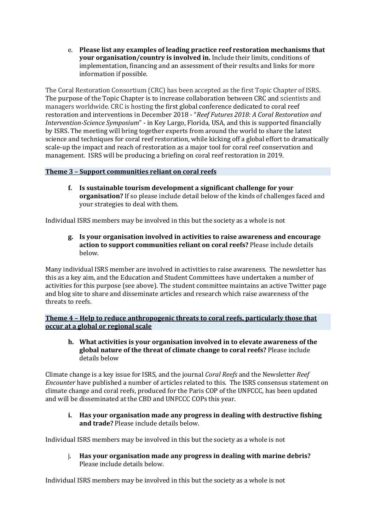e. Please list any examples of leading practice reef restoration mechanisms that **your organisation/country is involved in.** Include their limits, conditions of implementation, financing and an assessment of their results and links for more information if possible.

The Coral Restoration Consortium (CRC) has been accepted as the first Topic Chapter of ISRS. The purpose of the Topic Chapter is to increase collaboration between CRC and scientists and managers worldwide. CRC is hosting the first global conference dedicated to coral reef restoration and interventions in December 2018 - "*Reef Futures 2018: A Coral Restoration and Intervention-Science Symposium"* - in Key Largo, Florida, USA, and this is supported financially by ISRS. The meeting will bring together experts from around the world to share the latest science and techniques for coral reef restoration, while kicking off a global effort to dramatically scale-up the impact and reach of restoration as a major tool for coral reef conservation and management. ISRS will be producing a briefing on coral reef restoration in 2019.

### **Theme 3 - Support communities reliant on coral reefs**

**f.** Is sustainable tourism development a significant challenge for your organisation? If so please include detail below of the kinds of challenges faced and your strategies to deal with them.

Individual ISRS members may be involved in this but the society as a whole is not

**g. Is your organisation involved in activities to raise awareness and encourage**  action to support communities reliant on coral reefs? Please include details below.

Many individual ISRS member are involved in activities to raise awareness. The newsletter has this as a key aim, and the Education and Student Committees have undertaken a number of activities for this purpose (see above). The student committee maintains an active Twitter page and blog site to share and disseminate articles and research which raise awareness of the threats to reefs

**Theme 4 - Help to reduce anthropogenic threats to coral reefs, particularly those that occur at a global or regional scale** 

**h.** What activities is your organisation involved in to elevate awareness of the global nature of the threat of climate change to coral reefs? Please include details below

Climate change is a key issue for ISRS, and the journal *Coral Reefs* and the Newsletter *Reef Encounter* have published a number of articles related to this. The ISRS consensus statement on climate change and coral reefs, produced for the Paris COP of the UNFCCC, has been updated and will be disseminated at the CBD and UNFCCC COPs this year.

**i.** Has your organisation made any progress in dealing with destructive fishing **and trade?** Please include details below.

Individual ISRS members may be involved in this but the society as a whole is not

j. Has your organisation made any progress in dealing with marine debris? Please include details below.

Individual ISRS members may be involved in this but the society as a whole is not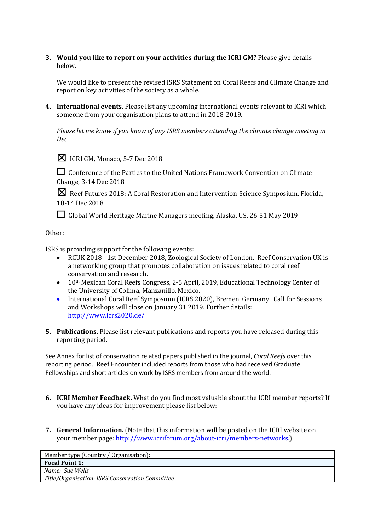**3.** Would you like to report on your activities during the ICRI GM? Please give details below.

We would like to present the revised ISRS Statement on Coral Reefs and Climate Change and report on key activities of the society as a whole.

**4.** International events. Please list any upcoming international events relevant to ICRI which someone from your organisation plans to attend in 2018-2019.

*Please let me know if you know of any ISRS members attending the climate change meeting in Dec*



 $\boxtimes$  ICRI GM, Monaco, 5-7 Dec 2018

□ Conference of the Parties to the United Nations Framework Convention on Climate Change, 3-14 Dec 2018

**X** Reef Futures 2018: A Coral Restoration and Intervention-Science Symposium, Florida, 10-14 Dec 2018

□ Global World Heritage Marine Managers meeting, Alaska, US, 26-31 May 2019

#### Other:

ISRS is providing support for the following events:

- RCUK 2018 1st December 2018, Zoological Society of London. Reef Conservation UK is a networking group that promotes collaboration on issues related to coral reef conservation and research.
- $10<sup>th</sup>$  Mexican Coral Reefs Congress, 2-5 April, 2019, Educational Technology Center of the University of Colima, Manzanillo, Mexico.
- International Coral Reef Symposium (ICRS 2020), Bremen, Germany. Call for Sessions and Workshops will close on January 31 2019. Further details: http://www.icrs2020.de/
- **5.** Publications. Please list relevant publications and reports you have released during this reporting period.

See Annex for list of conservation related papers published in the journal, *Coral Reefs* over this reporting period. Reef Encounter included reports from those who had received Graduate Fellowships and short articles on work by ISRS members from around the world.

- **6. ICRI Member Feedback.** What do you find most valuable about the ICRI member reports? If you have any ideas for improvement please list below:
- **7. General Information.** (Note that this information will be posted on the ICRI website on your member page: http://www.icriforum.org/about-icri/members-networks.)

| Member type (Country / Organisation):           |  |
|-------------------------------------------------|--|
| <b>Focal Point 1:</b>                           |  |
| Name: Sue Wells                                 |  |
| Title/Organisation: ISRS Conservation Committee |  |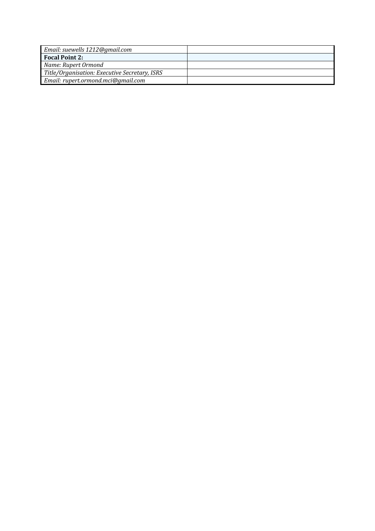| Email: suewells 1212@gmail.com                |  |
|-----------------------------------------------|--|
| <b>Focal Point 2:</b>                         |  |
| Name: Rupert Ormond                           |  |
| Title/Organisation: Executive Secretary, ISRS |  |
| Email: rupert.ormond.mci@gmail.com            |  |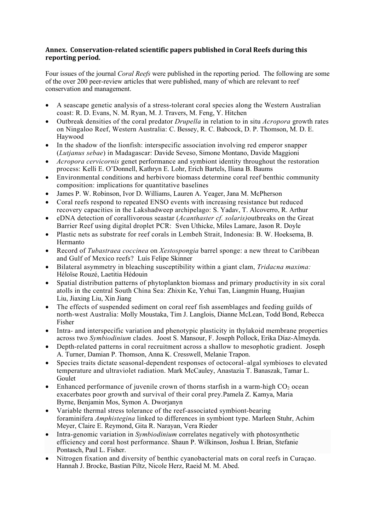#### Annex. Conservation-related scientific papers published in Coral Reefs during this reporting period.

Four issues of the journal *Coral Reefs* were published in the reporting period. The following are some of the over 200 peer-review articles that were published, many of which are relevant to reef conservation and management.

- A seascape genetic analysis of a stress-tolerant coral species along the Western Australian coast: R. D. Evans, N. M. Ryan, M. J. Travers, M. Feng, Y. Hitchen
- Outbreak densities of the coral predator *Drupella* in relation to in situ *Acropora* growth rates on Ningaloo Reef, Western Australia: C. Bessey, R. C. Babcock, D. P. Thomson, M. D. E. Haywood
- In the shadow of the lionfish: interspecific association involving red emperor snapper (*Lutjanus sebae*) in Madagascar: Davide Seveso, Simone Montano, Davide Maggioni
- *Acropora cervicornis* genet performance and symbiont identity throughout the restoration process: Kelli E. O'Donnell, Kathryn E. Lohr, Erich Bartels, Iliana B. Baums
- Environmental conditions and herbivore biomass determine coral reef benthic community composition: implications for quantitative baselines
- James P. W. Robinson, Ivor D. Williams, Lauren A. Yeager, Jana M. McPherson
- Coral reefs respond to repeated ENSO events with increasing resistance but reduced recovery capacities in the Lakshadweep archipelago: S. Yadav, T. Alcoverro, R. Arthur
- eDNA detection of corallivorous seastar (*Acanthaster cf. solaris)*outbreaks on the Great Barrier Reef using digital droplet PCR: Sven Uthicke, Miles Lamare, Jason R. Doyle
- Plastic nets as substrate for reef corals in Lembeh Strait, Indonesia: B. W. Hoeksema, B. Hermanto
- Record of *Tubastraea coccinea* on *Xestospongia* barrel sponge: a new threat to Caribbean and Gulf of Mexico reefs? Luís Felipe Skinner
- Bilateral asymmetry in bleaching susceptibility within a giant clam, *Tridacna maxima:* Héloïse Rouzé, Laetitia Hédouin
- Spatial distribution patterns of phytoplankton biomass and primary productivity in six coral atolls in the central South China Sea: Zhixin Ke, Yehui Tan, Liangmin Huang, Huajian Liu, Jiaxing Liu, Xin Jiang
- The effects of suspended sediment on coral reef fish assemblages and feeding guilds of north-west Australia: Molly Moustaka, Tim J. Langlois, Dianne McLean, Todd Bond, Rebecca Fisher
- Intra- and interspecific variation and phenotypic plasticity in thylakoid membrane properties across two *Symbiodinium* clades. Joost S. Mansour, F. Joseph Pollock, Erika Díaz-Almeyda.
- Depth-related patterns in coral recruitment across a shallow to mesophotic gradient. Joseph A. Turner, Damian P. Thomson, Anna K. Cresswell, Melanie Trapon.
- Species traits dictate seasonal-dependent responses of octocoral–algal symbioses to elevated temperature and ultraviolet radiation. Mark McCauley, Anastazia T. Banaszak, Tamar L. Goulet
- Enhanced performance of juvenile crown of thorns starfish in a warm-high  $CO<sub>2</sub>$  ocean exacerbates poor growth and survival of their coral prey.Pamela Z. Kamya, Maria Byrne, Benjamin Mos, Symon A. Dworjanyn
- Variable thermal stress tolerance of the reef-associated symbiont-bearing foraminifera *Amphistegina* linked to differences in symbiont type. Marleen Stuhr, Achim Meyer, Claire E. Reymond, Gita R. Narayan, Vera Rieder
- Intra-genomic variation in *Symbiodinium* correlates negatively with photosynthetic efficiency and coral host performance. Shaun P. Wilkinson, Joshua I. Brian, Stefanie Pontasch, Paul L. Fisher.
- Nitrogen fixation and diversity of benthic cyanobacterial mats on coral reefs in Curaçao. Hannah J. Brocke, Bastian Piltz, Nicole Herz, Raeid M. M. Abed.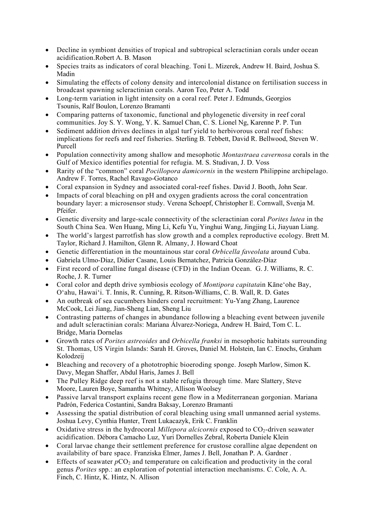- Decline in symbiont densities of tropical and subtropical scleractinian corals under ocean acidification.Robert A. B. Mason
- Species traits as indicators of coral bleaching. Toni L. Mizerek, Andrew H. Baird, Joshua S. Madin
- Simulating the effects of colony density and intercolonial distance on fertilisation success in broadcast spawning scleractinian corals. Aaron Teo, Peter A. Todd
- Long-term variation in light intensity on a coral reef. Peter J. Edmunds, Georgios Tsounis, Ralf Boulon, Lorenzo Bramanti
- Comparing patterns of taxonomic, functional and phylogenetic diversity in reef coral communities. Joy S. Y. Wong, Y. K. Samuel Chan, C. S. Lionel Ng, Karenne P. P. Tun
- Sediment addition drives declines in algal turf yield to herbivorous coral reef fishes: implications for reefs and reef fisheries. Sterling B. Tebbett, David R. Bellwood, Steven W. Purcell
- Population connectivity among shallow and mesophotic *Montastraea cavernosa* corals in the Gulf of Mexico identifies potential for refugia. M. S. Studivan, J. D. Voss
- Rarity of the "common" coral *Pocillopora damicornis* in the western Philippine archipelago. Andrew F. Torres, Rachel Ravago-Gotanco
- Coral expansion in Sydney and associated coral-reef fishes. David J. Booth, John Sear.
- Impacts of coral bleaching on pH and oxygen gradients across the coral concentration boundary layer: a microsensor study. Verena Schoepf, Christopher E. Cornwall, Svenja M. Pfeifer.
- Genetic diversity and large-scale connectivity of the scleractinian coral *Porites lutea* in the South China Sea. Wen Huang, Ming Li, Kefu Yu, Yinghui Wang, Jingjing Li, Jiayuan Liang.
- The world's largest parrotfish has slow growth and a complex reproductive ecology. Brett M. Taylor, Richard J. Hamilton, Glenn R. Almany, J. Howard Choat
- Genetic differentiation in the mountainous star coral *Orbicella faveolata* around Cuba.
- Gabriela Ulmo-Díaz, Didier Casane, Louis Bernatchez, Patricia González-Díaz
- First record of coralline fungal disease (CFD) in the Indian Ocean. G. J. Williams, R. C. Roche, J. R. Turner
- Coral color and depth drive symbiosis ecology of *Montipora capitata*in Kāne'ohe Bay, O'ahu, Hawai'i. T. Innis, R. Cunning, R. Ritson-Williams, C. B. Wall, R. D. Gates
- An outbreak of sea cucumbers hinders coral recruitment: Yu-Yang Zhang, Laurence McCook, Lei Jiang, Jian-Sheng Lian, Sheng Liu
- Contrasting patterns of changes in abundance following a bleaching event between juvenile and adult scleractinian corals: Mariana Álvarez-Noriega, Andrew H. Baird, Tom C. L. Bridge, Maria Dornelas
- Growth rates of *Porites astreoides* and *Orbicella franksi* in mesophotic habitats surrounding St. Thomas, US Virgin Islands: Sarah H. Groves, Daniel M. Holstein, Ian C. Enochs, Graham Kolodzeij
- Bleaching and recovery of a phototrophic bioeroding sponge. Joseph Marlow, Simon K. Davy, Megan Shaffer, Abdul Haris, James J. Bell
- The Pulley Ridge deep reef is not a stable refugia through time. Marc Slattery, Steve Moore, Lauren Boye, Samantha Whitney, Allison Woolsey
- Passive larval transport explains recent gene flow in a Mediterranean gorgonian. Mariana Padrón, Federica Costantini, Sandra Baksay, Lorenzo Bramanti
- Assessing the spatial distribution of coral bleaching using small unmanned aerial systems. Joshua Levy, Cynthia Hunter, Trent Lukacazyk, Erik C. Franklin
- Oxidative stress in the hydrocoral *Millepora alcicornis* exposed to CO<sub>2</sub>-driven seawater acidification. Débora Camacho Luz, Yuri Dornelles Zebral, Roberta Daniele Klein
- Coral larvae change their settlement preference for crustose coralline algae dependent on availability of bare space. Franziska Elmer, James J. Bell, Jonathan P. A. Gardner .
- Effects of seawater  $pCO<sub>2</sub>$  and temperature on calcification and productivity in the coral genus *Porites* spp.: an exploration of potential interaction mechanisms. C. Cole, A. A. Finch, C. Hintz, K. Hintz, N. Allison